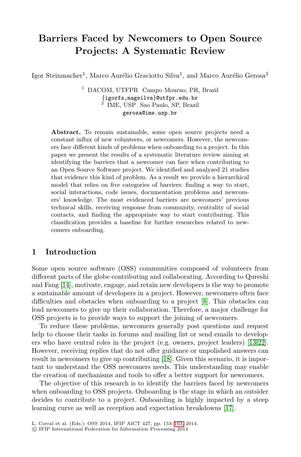# **Barriers Faced by Newcomers to Open Source Projects: A Systematic Review**

Igor Steinmacher<sup>1</sup>, Marco Aurélio Graciotto Silva<sup>1</sup>, and Marco Aurélio Gerosa<sup>2</sup>

<sup>1</sup> DACOM, UTFPR Campo Mourao, PR, Brazil *{*igorfs,magsilva*}*@utfpr.edu.br <sup>2</sup> IME, USP Sao Paulo, SP, Brazil gerosa@ime.usp.br

**Abstract.** To remain sustainable, some open source projects need a constant influx of new volunteers, or newcomers. However, the newcomers face different kinds of problems when onboarding to a project. In this paper we present the results of a systematic literature review aiming at identifying the barriers that a newcomer can face when contributing to an Open Source Software project. We identified and analyzed 21 studies that evidence this kind of problem. As a result we provide a hierarchical model that relies on five categories of barriers: finding a way to start, social interactions, code issues, documentation problems and newcomers' knowledge. The most evidenced barriers are newcomers' previous technical skills, receiving response from community, centrality of social contacts, and finding the appropriate way to start contributing. This classification provides a baseline for further researches related to newcomers onboarding.

### **1 Introduction**

Some open source software (OSS) communities composed of volunteers from different parts of the globe contributing and collaborati[ng.](#page-9-0) [Ac](#page-10-0)cording to Qureshi and Fang [14], motivate, engage, and retain new developers is the way to promote a sustainable amount of d[eve](#page-10-1)lopers in a project. However, newcomers often face difficulties and obstacles when onboarding to a project [8]. This obstacles can lead newcomers to give up their collaboration. Therefore, a major challenge for OSS projects is to provide ways to support the joining of newcomers.

To reduce these problems, newcomers generally post questions and request help to choose their tasks in forums and mailing list or send emails to developers who have central roles in the project (e.g. [ow](#page-10-2)ners, project leaders) [13,22]. However, receiving replies that do not offer guidance or unpolished answers can result in newcomers to give u[p con](#page-10-3)tributing [18]. Given this scenario, it is important to understand the OSS newcomers needs. This understanding may enable the creation of mechanisms and tools to offer a better support for newcomers.

The objective of this research is to identify the barriers faced by newcomers when onboarding to OSS projects. Onboarding is the stage in which an outsider decides to contribute to a project. Onboarding is highly impacted by a steep learning curve as well as reception and expectation breakdowns [17].

L. Corral et al. (Eds.): OSS 2014, IFIP AICT 427, pp. 153–163, 2014.

<sup>-</sup>c IFIP International Federation for Information Processing 2014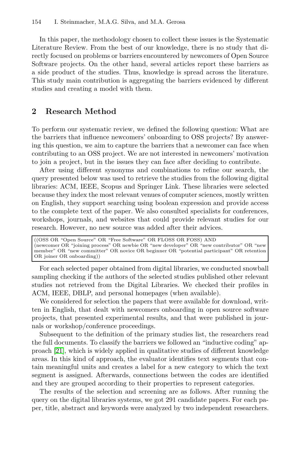In this paper, the methodology chosen to collect these issues is the Systematic Literature Review. From the best of our knowledge, there is no study that directly focused on problems or barriers encountered by newcomers of Open Source Software projects. On the other hand, several articles report these barriers as a side product of the studies. Thus, knowledge is spread across the literature. This study main contribution is aggregating the barriers evidenced by different studies and creating a model with them.

## **2 Research Method**

To perform our systematic review, we defined the following question: What are the barriers that influence newcomers' onboarding to OSS projects? By answering this question, we aim to capture the barriers that a newcomer can face when contributing to an OSS project. We are not interested in newcomers' motivation to join a project, but in the issues they can face after deciding to contribute.

After using different synonyms and combinations to refine our search, the query presented below was used to retrieve the studies from the following digital libraries: ACM, IEEE, Scopus and Springer Link. These libraries were selected because they index the most relevant venues of computer sciences, mostly written on English, they support searching using boolean expression and provide access to the complete text of the paper. We also consulted specialists for conferences, workshops, journals, and websites that could provide relevant studies for our research. However, no new source was added after their advices.

```
((OSS OR "Open Source" OR "Free Software" OR FLOSS OR FOSS) AND
(newcomer OR "joining process" OR newbie OR "new developer" OR "new contributor" OR "new
member" OR "new committer" OR novice OR beginner OR "potential participant" OR retention
OR joiner OR onboarding))
```
For each selected paper obtained from digital libraries, we conducted snowball sampling checking if the authors of the selected studies published other relevant studies not retrieved from the Digital Libraries. We checked their profiles in ACM, IEEE, DBLP, and personal homepages (when available).

We considered for selection the papers that were available for download, written in English, that dealt with newcomers onboarding in open source software projects, that presented experimental results, and that were published in journals or workshop/conference proceedings.

Subsequent to the definition of the primary studies list, the researchers read the full documents. To classify the barriers we followed an "inductive coding" approach [21], which is widely applied in qualitative studies of different knowledge areas. In this kind of approach, the evaluator identifies text segments that contain meaningful units and creates a label for a new category to which the text segment is assigned. Afterwards, connections between the codes are identified and they are grouped according to their properties to represent categories.

The results of the selection and screening are as follows. After running the query on the digital libraries systems, we got 291 candidate papers. For each paper, title, abstract and keywords were analyzed by two independent researchers.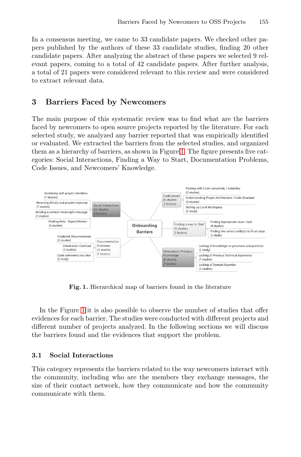In a consensus meeting, we came to 33 candidate papers. We checked other papers published by the authors of these 33 candidate studies, finding 20 other candidate papers. After analyzing the abstract of these papers we selected 9 relevant papers, coming to a total of 42 candidate papers. After further analysis, a total of 21 papers were considered relevant to this review and were considered to extract relevant data.

# **3 Barriers Faced by Newcomers**

The main purpose of this systematic review was to find what are the barriers faced by newcomers to open source projects reported by the literature. For each selected study, we analyzed any barrier reported that was empirically identified or evaluated. We extracted the barriers from the selected studies, and organized them as a hierarchy of barriers, as shown in Figure 1. The figure presents five categories: Social Interactions, Finding a Way to Start, Documentation Problems, Code Issues, and Newcomers' Knowledge.

<span id="page-2-0"></span>

**Fig. 1.** Hierarchical map of barriers found in the literature

In the Figure 1 it is also possible to observe the number of studies that offer evidences for each barrier. The studies were conducted with different projects and different number of projects analyzed. In the following sections we will discuss the barriers found and the evidences that support the problem.

### **3.1 Social Interactions**

This category represents the barriers related to the way newcomers interact with the community, including who are the members they exchange messages, the size of their contact network, how they communicate and how the community communicate with them.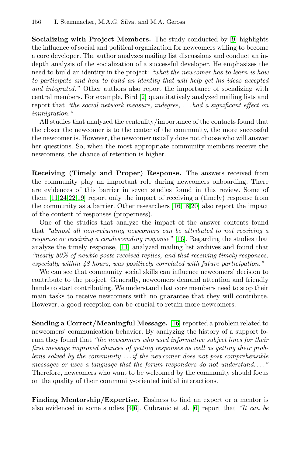**Socializing with [P](#page-9-1)roject Members.** The study conducted by [9] highlights the influence of social and political organization for newcomers willing to become a core developer. The author analyzes mailing list discussions and conduct an indepth analysis of the socialization of a successful developer. He emphasizes the need to build an identity in the project: *"what the newcomer has to learn is how to participate and how to build an identity that will help get his ideas accepted and integrated."* Other authors also report the importance of socializing with central members. For example, Bird [2] quantitatively analyzed mailing lists and report that *"the social network measure, indegree, . . . had a significant effect on immigration."*

All studies that analyzed the centrality/importance of the contacts found that the closer the newcomer is to the center of the community, the more successful the newcomer is. However, the newcomer usually does not choose who will answer her questions. So, when the [mo](#page-10-4)[st](#page-10-1) [a](#page-10-1)[pp](#page-10-5)ropriate community members receive the newcomers, the chance of retention is higher.

**Receiving (Timely and P[rop](#page-10-4)er) Response.** The answers received from the commu[nity](#page-9-2) play an important role during newcomers onboarding. There are evidences of this barrier in seven studies found in this review. Some of them [11,24,22,19] report only the impact of receiving a (timely) response from the community as a barrier. Other researchers [16,18,20] also report the impact of the content of responses (properness).

One of the studies that analyze the impact of the answer contents found that *"almost all non-returning newcomers can be attributed to not receiving a response or receiving a condescending response"* [16]. Regarding the studies that analyze the timely response, [11] analyzed mailing list archives and found that *"nearly 80% of newbie posts received replies, and that receiving timely responses, especially within 48 hours, w[as](#page-10-4) [p](#page-10-4)ositively correlated with future participation."*

We can see that community social skills can influence newcomers' decision to contribute to the project. Generally, newcomers demand attention and friendly hands to start contributing. We understand that core members need to stop their main tasks to receive newcomers with no guarantee that they will contribute. However, a good reception can be crucial to retain more newcomers.

**Sending a Correct/Meaningful Message.** [16] reported a problem related to newcomers' communication behavior. By analyzing the history of a support forum they found that *"the newcomers who used informative subject lines for their first message i[m](#page-9-3)[pr](#page-9-4)oved chances of ge[tti](#page-9-4)ng responses as well as getting their problems solved by the community . . . if the newcomer does not post comprehensible messages or uses a language that the forum responders do not understand. . . ."* Therefore, newcomers who want to be welcomed by the community should focus on the quality of their community-oriented initial interactions.

**Finding Mentorship/Expertise.** Easiness to find an expert or a mentor is also evidenced in some studies [4,6]. Cubranic et al. [6] report that *"It can be*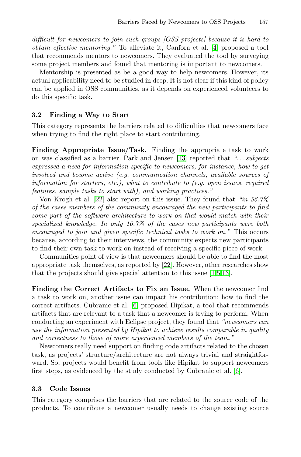*difficult for newcomers to join such groups [OSS projects] because it is hard to obtain effective mentoring."* To alleviate it, Canfora et al. [4] proposed a tool that recommends mentors to newcomers. They evaluated the tool by surveying some project members and found that mentoring is important to newcomers.

Mentorship is presented as be a good way to help newcomers. However, its actual applicability need to be studied in deep. It is not clear if this kind of policy can be applied in OSS communities, as it depends on experienced volunteers to do this specific task.

### **3.2 Finding a Way to Start**

This category represents the barriers related to difficulties that newcomers face wh[en t](#page-10-0)rying to find the right place to start contributing.

**Finding Appropriate Issue/Task.** Finding the appropriate task to work on was classified as a barrier. Park and Jensen [13] reported that *". . . subjects expressed a need for information specific to newcomers, for instance, how to get involved and become active (e.g. communication channels, available sources of information for starters, etc.), what to contribute to (e.g. open issues, required features, sample tasks to start with), and working practices."*

Von Krogh et al. [22] [also](#page-10-0) report on this issue. They found that *"in 56.7% of the cases members of the community e[nc](#page-9-5)[ou](#page-9-6)[rag](#page-9-0)ed the new participants to find some part of the software architecture to work on that would match with their specialized knowledge. In only 16.7% of the cases new participants were both encouraged to join and given specific technical tasks to work on."* This occurs because, accord[ing](#page-9-4) to their interviews, the community expects new participants to find their own task to work on instead of receiving a specific piece of work.

Communities point of view is that newcomers should be able to find the most appropriate task themselves, as reported by [22]. However, other researches show that the projects should give special attention to this issue [1,5,13].

**Finding the Correct Artifacts to Fix an Issue.** When the newcomer find a task to work on, another issue can impact his contribution: how to find the correct artifacts. Cubranic et al. [6] proposed Hip[ika](#page-9-4)t, a tool that recommends artifacts that are relevant to a task that a newcomer is trying to perform. When conducting an experiment with Eclipse project, they found that *"newcomers can use the information presented by Hipikat to achieve results comparable in quality and correctness to those of more experienced members of the team."*

Newcomers really need support on finding code artifacts related to the chosen task, as projects' structure/architecture are not always trivial and straightforward. So, projects would benefit from tools like Hipikat to support newcomers first steps, as evidenced by the study conducted by Cubranic et al. [6].

#### **3.3 Code Issues**

This category comprises the barriers that are related to the source code of the products. To contribute a newcomer usually needs to change existing source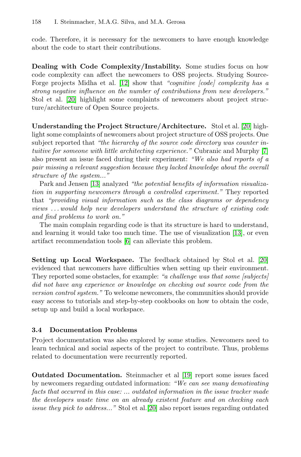code. Therefore, it is necessary for the newcomers to have enough knowledge about the code to start their contributions.

**Dealing with Code Complexity/Instability.** [Som](#page-10-5)e studies focus on how code complexity can affect the newcomers to OSS projects. Studying Source-Forge projects Midha et al. [12] show that *"cognitive [code] complexity has a strong negative influence on the number of contributions fr[om](#page-9-8) new developers."* Stol et al. [20] highlight some complaints of newcomers about project structure/architecture of Open Source projects.

**[Und](#page-9-0)erstanding the Project Structure/Architecture.** Stol et al. [20] highlight some complaints of newcomers about project structure of OSS projects. One subject reported that *"the hierarchy of the source code directory was counter intuitive for someone with little architecting experience."* Cubranic and Murphy [7] also present an issue faced during their experiment: *"We also had reports of a pair missing a relevant suggestion because they lac[ked](#page-9-0) knowledge about the overall structure of t[he](#page-9-4) system..."*

Park and Jensen [13] analyzed *"the potential benefits of information visualization in supporting newcomers through a controlled experiment."* They reported that *"providing visual information such as the class dia[gram](#page-10-5)s or dependency views . . . would help new developers understand the structure of existing code and find problems to work on."*

The main complain regarding code is that its structure is hard to understand, and learning it would take too much time. The use of visualization [13], or even artifact recommendation tools [6] can alleviate this problem.

**Setting up Local Workspace.** The feedback obtained by Stol et al. [20] evidenced that newcomers have difficulties when setting up their environment. They reported some obstacles, for example: *"a challenge was that some [subjects] did not have any experience or knowledge on checking out source code from the version control system."* To welcome newcomers, the communities should provide easy access to tutorials and step-by-step cookbooks on how to obtain the code, setup up and build a local work[spac](#page-10-6)e.

### **3.4 Documentation Problems**

Project documentation was also explored by some studies. Newcomers need to learn technical and s[oci](#page-10-5)al aspects of the project to contribute. Thus, problems related to documentation were recurrently reported.

**Outdated Documentation.** Steinmacher et al [19] report some issues faced by newcomers regarding outdated information: *"We can see many demotivating facts that occurred in this case: ... outdated information in the issue tracker made the developers waste time on an already existent feature and on checking each issue they pick to address..."* Stol et al.[20] also report issues regarding outdated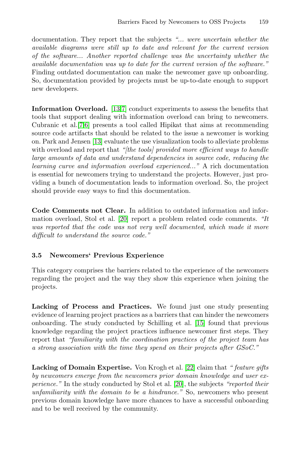documentation. They report that the subjects *"... were uncertain whether the available [di](#page-9-0)[ag](#page-9-8)rams were still up to date and relevant for the current version of the software... Another reported challenge was the uncertainty whether the [av](#page-9-4)ailable documentation was up to date for the current version of the software."* Finding outdated documentation can make the newcomer gave up onboarding. So[,](#page-9-0) [do](#page-9-0)cumentation provided by projects must be up-to-date enough to support new developers.

**Information Overload.** [13,7] conduct experiments to assess the benefits that tools that support dealing with information overload can bring to newcomers. Cubranic et al.[7,6] presents a tool called Hipikat that aims at recommending source code artifacts that should be related to the issue a newcomer is working on. Park and Jensen [13] evaluate the use visualization tools to alleviate problems with overload and report that "[the tools] provided more efficient ways to handle *large amou[nts](#page-10-5) of data and understand dependencies in source code, reducing the learning curve and information overload experienced..."* A rich documentation is essential for newcomers trying to understand the projects. However, just providing a bunch of documentation leads to information overload. So, the project should provide easy ways to find this documentation.

**Code Comments not Clear.** In addition to outdated information and information overload, Stol et al. [20] report a problem related code comments. *"It was reported that the code was not very well documented, which made it more difficult to understand the source code."*

### **3.5 Newcomers' Previous Exp[erie](#page-9-9)nce**

This category comprises the barriers related to the experience of the newcomers regarding the project and the way they show this experience when joining the projects.

Lacking of Process and Pra[ctic](#page-10-0)es. We found just one study presenting evidence of learning project practices as a barriers that can hinder the newcomers onboarding. The study cond[ucte](#page-10-5)d by Schilling et al. [15] found that previous knowledge regarding the project practices influence newcomer first steps. They report that *"familiarity with the coordination practices of the project team has a strong association with the time they spend on their projects after GSoC."*

**Lacking of Domain Expertise.** Von Krogh et al. [22] claim that *" feature gifts by newcomers emerge from the newcomers prior domain knowledge and user experience."* In the study conducted by Stol et al. [20], the subjects *"reported their unfamiliarity with the domain to be a hindrance."* So, newcomers who present previous domain knowledge have more chances to have a successful onboarding and to be well received by the community.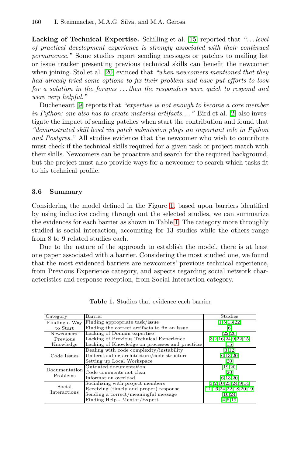**Lacking of Technical Expertise.** Schilling et al. [15] reported that *". . . level of practical development experience is strongly [as](#page-9-1)sociated with their continued permanence."* Some studies report sending messages or patches to mailing list or issue tracker presenting previous technical skills can benefit the newcomer when joining. Stol et al. [20] evinced that *"when newcomers mentioned that they had already tried some options to fix their problem and have put efforts to look for a solution in the forums . . . then the responders were quick to respond and were very helpful."*

Ducheneaut [9] reports that *"expertise is not enough to become a core member in Python: one also has to create material artifacts. . . "* Bird et al. [2] also investigate the impact of sending patches when start the contribution and found that *"demonstrated skill level via patch submission plays an important role in Python and Postgres."* All studies evidence that the newcomer who wish to contribute must check if the technical s[ki](#page-2-0)lls required for a given task or project match with their skills. Newcomers can be proactive and search for the required background, but the project must also pro[vid](#page-7-0)e ways for a newcomer to search which tasks fit to his technical profile.

### <span id="page-7-0"></span>**3.6 Summary**

Considering the model defined in the Figure 1, based upon barriers identified by using inductive coding through out the selected studies, we can summarize the evidences for each barrier as shown in Table 1. The category more throughly studied is social interaction, accounting for 13 studies while the others range from 8 to 9 related studies each.

Due to the nature of the approach to establish the model, there is at least one paper associated with a barrier. Considering the most studied one, we found that the most evidenced barriers are newco[me](#page-9-5)[r](#page-9-6)[s'](#page-9-4) [pre](#page-10-0)vious technical experience, from Previous Experience category, and aspe[cts](#page-10-0) [re](#page-10-5)garding social network characteristics and response reception, from S[o](#page-9-10)[ci](#page-9-1)[al](#page-10-4) [In](#page-9-9)[te](#page-9-11)[ra](#page-10-0)[cti](#page-9-9)on category.

| Category                  | Barrier                                         | Studies                      |
|---------------------------|-------------------------------------------------|------------------------------|
| Finding a Way             | Finding appropriate task/issue                  | [1,5,13,22]                  |
| to Start                  | Finding the correct artifacts to fix an issue   | 6                            |
| Newcomers'                | Lacking of Domain expertise                     | [22, 20]                     |
| Previous                  | Lacking of Previous Technical Experience        | [3,2,16,24,9,22,15]          |
| Knowledge                 | Lacking of Knowledge on processes and practices | [15]                         |
| Code Issues               | Dealing with code complexity/instability        | [3, 12]                      |
|                           | Understanding architecture/code structure       | [6, 13, 20]                  |
|                           | Setting up Local Workspace                      | [20]                         |
| Documentation<br>Problems | Outdated documentation                          | [19, 20]                     |
|                           | Code comments not clear                         | [20]                         |
|                           | Information overload                            | [6, 13, 20]                  |
| Social<br>Interactions    | Socializing with project members                | [3,2,10,23,24,9,14]          |
|                           | Receiving (timely and proper) response          | [11, 16, 24, 22, 18, 20, 19] |
|                           | Sending a correct/meaningful message            | [16, 24]                     |
|                           | Finding Help - Mentor/Expert                    | [4.6.19]                     |

**Table 1.** Studies that evide[nce](#page-10-6) [ea](#page-10-5)ch barrier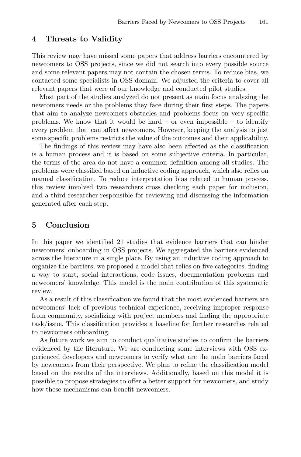### **4 Threats to Validity**

This review may have missed some papers that address barriers encountered by newcomers to OSS projects, since we did not search into every possible source and some relevant papers may not contain the chosen terms. To reduce bias, we contacted some specialists in OSS domain. We adjusted the criteria to cover all relevant papers that were of our knowledge and conducted pilot studies.

Most part of the studies analyzed do not present as main focus analyzing the newcomers needs or the problems they face during their first steps. The papers that aim to analyze newcomers obstacles and problems focus on very specific problems. We know that it would be hard – or even impossible – to identify every problem that can affect newcomers. However, keeping the analysis to just some specific problems restricts the value of the outcomes and their applicability.

The findings of this review may have also been affected as the classification is a human process and it is based on some subjective criteria. In particular, the terms of the area do not have a common definition among all studies. The problems were classified based on inductive coding approach, which also relies on manual classification. To reduce interpretation bias related to human process, this review involved two researchers cross checking each paper for inclusion, and a third researcher responsible for reviewing and discussing the information generated after each step.

### **5 Conclusion**

In this paper we identified 21 studies that evidence barriers that can hinder newcomers' onboarding in OSS projects. We aggregated the barriers evidenced across the literature in a single place. By using an inductive coding approach to organize the barriers, we proposed a model that relies on five categories: finding a way to start, social interactions, code issues, documentation problems and newcomers' knowledge. This model is the main contribution of this systematic review.

As a result of this classification we found that the most evidenced barriers are newcomers' lack of previous technical experience, receiving improper response from community, socializing with project members and finding the appropriate task/issue. This classification provides a baseline for further researches related to newcomers onboarding.

As future work we aim to conduct qualitative studies to confirm the barriers evidenced by the literature. We are conducting some interviews with OSS experienced developers and newcomers to verify what are the main barriers faced by newcomers from their perspective. We plan to refine the classification model based on the results of the interviews. Additionally, based on this model it is possible to propose strategies to offer a better support for newcomers, and study how these mechanisms can benefit newcomers.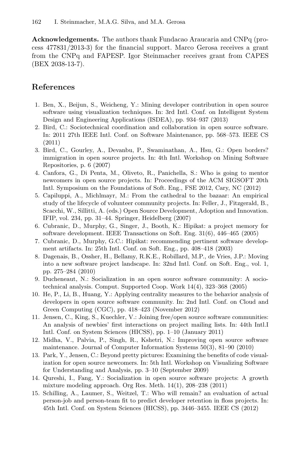<span id="page-9-5"></span>**Acknowledgements.** The authors thank Fundacao Araucaria and CNPq (process 477831/2013-3) for the financial support. Marco Gerosa receives a grant from the CNPq and FAPESP. Igor Steinmacher receives grant from CAPES (BEX 2038-13-7).

# <span id="page-9-1"></span>**References**

- <span id="page-9-10"></span><span id="page-9-3"></span>1. Ben, X., Beijun, S., Weicheng, Y.: Mining developer contribution in open source software using visualization techniques. In: 3rd Intl. Conf. on Intelligent System Design and Engineering Applications (ISDEA), pp. 934–937 (2013)
- <span id="page-9-6"></span>2. Bird, C.: Sociotechnical coordination and collaboration in open source software. In: 2011 27th IEEE Intl. Conf. on Software Maintenance, pp. 568–573. IEEE CS (2011)
- 3. Bird, C., Gourley, A., Devanbu, P., Swaminathan, A., Hsu, G.: Open borders? immigration in open source projects. In: 4th Intl. Workshop on Mining Software Repositories, p. 6 (2007)
- <span id="page-9-8"></span><span id="page-9-4"></span>4. Canfora, G., Di Penta, M., Oliveto, R., Panichella, S.: Who is going to mentor newcomers in open source projects. In: Proceedings of the ACM SIGSOFT 20th Intl. Symposium on the Foundations of Soft. Eng., FSE 2012, Cary, NC (2012)
- 5. Capiluppi, A., Michlmayr, M.: From the cathedral to the bazaar: An empirical study of the lifecycle of volunteer community projects. In: Feller, J., Fitzgerald, B., Scacchi, W., Sillitti, A. (eds.) Open Source Development, Adoption and Innovation. IFIP, vol. 234, pp. 31–44. Springer, Heidelberg (2007)
- <span id="page-9-11"></span>6. Cubranic, D., Murphy, G., Singer, J., Booth, K.: Hipikat: a project memory for software development. IEEE Transactions on Soft. Eng. 31(6), 446–465 (2005)
- 7. Cubranic, D., Murphy, G.C.: Hipikat: recommending pertinent software development artifacts. In: 25th Intl. Conf. on Soft. Eng., pp. 408–418 (2003)
- <span id="page-9-2"></span>8. Dagenais, B., Ossher, H., Bellamy, R.K.E., Robillard, M.P., de Vries, J.P.: Moving into a new software project landscape. In: 32nd Intl. Conf. on Soft. Eng., vol. 1, pp. 275–284 (2010)
- <span id="page-9-7"></span><span id="page-9-0"></span>9. Ducheneaut, N.: Socialization in an open source software community: A sociotechnical analysis. Comput. Supported Coop. Work 14(4), 323–368 (2005)
- 10. He, P., Li, B., Huang, Y.: Applying centrality measures to the behavior analysis of developers in open source software community. In: 2nd Intl. Conf. on Cloud and Green Computing (CGC), pp. 418–423 (November 2012)
- 11. Jensen, C., King, S., Kuechler, V.: Joining free/open source software communities: An analysis of newbies' first interactions on project mailing lists. In: 44th Intl.I Intl. Conf. on System Sciences (HICSS), pp. 1–10 (January 2011)
- <span id="page-9-9"></span>12. Midha, V., Palvia, P., Singh, R., Kshetri, N.: Improving open source software maintenance. Journal of Computer Information Systems 50(3), 81–90 (2010)
- 13. Park, Y., Jensen, C.: Beyond pretty pictures: Examining the benefits of code visualization for open source newcomers. In: 5th Intl. Workshop on Visualizing Software for Understanding and Analysis, pp. 3–10 (September 2009)
- 14. Qureshi, I., Fang, Y.: Socialization in open source software projects: A growth mixture modeling approach. Org Res. Meth.  $14(1)$ ,  $208-238$  (2011)
- 15. Schilling, A., Laumer, S., Weitzel, T.: Who will remain? an evaluation of actual person-job and person-team fit to predict developer retention in floss projects. In: 45th Intl. Conf. on System Sciences (HICSS), pp. 3446–3455. IEEE CS (2012)